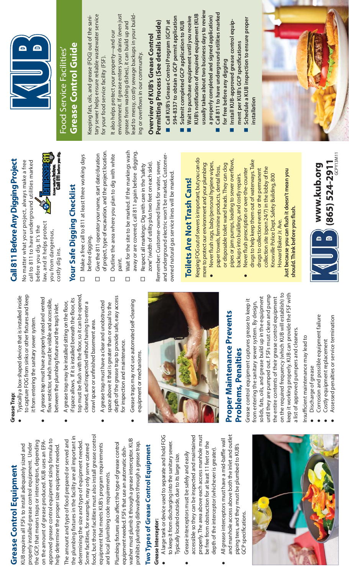## **Grease Control Equipment Grease Control Equipment**

approved grease control equipment sizing formula to approved grease control equipment sizing formula to the GCP, that means traps or interceptors, depending the GCP, that means traps or interceptors, depending on the amount of grease produced. KUB uses an EPAon the amount of grease produced. KUB uses an EPAproperly installed grease control equipment. Under properly installed grease control equipment. Under KUB requires all FSFs to install adequately sized and help determine the proper size equipment needed. KUB requires all FSFs to install adequately sized and nelp determine the proper size equipment needed.

●

food, but those facilities must also install grease control food, but those facilities must also install grease control the plumbing fixtures in the facility are all important in the plumbing fixtures in the facility are all important in The amount and type of food prepared or served and The amount and type of food prepared or served and determining the size and type of equipment needed. determining the size and type of equipment needed. Some facilities, for example, may only serve catered equipment that meets KUB's program requirements Some facilities, for example, may only serve catered equipment that meets KUB's program requirements and local plumbing code requirements. and local plumbing code requirements.

washer must plumb it through a grease interceptor. KUB washer must plumb it through a grease interceptor. KUB prohibits plumbing dishwashers through a grease trap. Plumbing fixtures also affect the type of grease control Plumbing fixtures also affect the type of grease control orohibits plumbing dishwashers through a grease trap. equipment needed. FSFs that use an automatic dishequipment needed. FSFs that use an automatic dish-

# **Two Types of Grease Control Equipment Two Types of Grease Control Equipment**

#### **Grease Interceptor: Grease Interceptor:**

- A large tank or device used to separate and hold FOG A large tank or device used to separate and hold FOG to keep it from discharging into the sanitary sewer. to keep it from discharging into the sanitary sewer. Typically located outside, due to its large size. Typically located outside, due to its large size. ●
- accessible so they can be inspected and maintained properly. The area above each access manhole must accessible so they can be inspected and maintained properly. The area above each access manhole must be free from obstruction for at least 11 feet or the be free from obstruction for at least 11 feet or the depth of the interceptor (whichever is greater). depth of the interceptor (whichever is greater). Grease interceptors must be safely and easily Grease interceptors must be safely and easily ●
- and manhole access above both the inlet and outlet and manhole access above both the inlet and outlet All grease interceptors must have a mid-baffle wall  $\bullet$  All grease interceptors must have a mid-baffle wall piping tees, and they must be plumbed to KUB's piping tees, and they must be plumbed to KUB's GCP specifications. GCP specifi cations. ●



## **Grease Trap: Grease Trap:**

- to capture FOG from sinks or other fixtures and keep to capture FOG from sinks or other fixtures and keep • Typically a box-shaped device that is installed inside Typically a box-shaped device that is installed inside it from entering the sanitary sewer system. t from entering the sanitary sewer system.
	- A grease trap must have a properly rated and vented A grease trap must have a properly rated and vented flow restrictor, which must be visible and accessible, flow restrictor, which must be visible and accessible, between the plumbing fixture and the trap's inlet. between the plumbing fixture and the trap's inlet.
- top must be flush with the floor, so it can be opened, top must be flush with the floor, so it can be opened, f space allows. If it is installed beneath the floor, its if space allows. If it is installed beneath the floor, its  $\bullet$  A grease trap may be installed sitting on the floor, cleaned, and inspected without having to enter a A grease trap may be installed sitting on the floor, cleaned, and inspected without having to enter a crawl space or unfinished basement area. crawl space or unfinished basement area. ●
- depth of the grease trap to provide safe, easy access depth of the grease trap to provide safe, easy access A grease trap must have a clear and unobstructed A grease trap must have a clear and unobstructed space above it that is greater than or equal to the space above it that is greater than or equal to the for inspection and maintenance. for inspection and maintenance.

●

 Grease traps may not use automated self-cleaning Grease traps may not use automated self-cleaning equipment or mechanisms. equipment or mechanisms. ●



#### **Proper Maintenance Prevents**  Proper Maintenance Prevents **Problems, Penalties**  Problems, Penalties

on the required frequency (which KUB will establish) to on the required frequency (which KUB will establish) to keep it working properly. KUB can provide the FSF with keep it working properly. KUB can provide the FSF with until they are pumped out. FSFs must clean and pump until they are pumped out. FSFs must clean and pump solids, fats, oils, and grease build up in the equipment solids, fats, oils, and grease build up in the equipment the entire contents of their grease control equipment the entire contents of their grease control equipment Grease control equipment captures grease to keep it Grease control equipment captures grease to keep it rom entering the sanitary sewer system. By design, from entering the sanitary sewer system. By design, a list of approved pumpers and cleaners. a list of approved pumpers and cleaners.

- nsufficient maintenance may lead to Insufficient maintenance may lead to
- Corrosion and possible equipment failure Corrosion and possible equipment failure Discharge of grease • Discharge of grease ●

●

●

●

- Costly equipment replacement Costly equipment replacement
- Assessed penalties or service termination Assessed penalties or service termination

Call 811 Before Any Digging Project **Call 811 Before Any Digging Project**

No matter what your project, always make a free No matter what your project, always make a free call to 811 to have underground utilities marked call to 811 to have underground utilities marked **O** aw, and it helps protect law, and it helps protect before you dig. It's the before you dig. It's the you from dangerous, you from dangerous, costly dig ins.



## Your Safe Digging Checklist **Your Safe Digging Checklist** costly dig ins.

- Make a free call to 811 at least three working days Make a free call to 811 at least three working days before digging. before digging.
- of project, type of excavation, and the project location. of project, type of excavation, and the project location Give the 811 operator your name, start date/duration Give the 811 operator your name, start date/duration  $\Box$  $\Box$ 
	- $\square$  Outline the area where you plan to dig with white Outline the area where you plan to dig with white paint.  $\Box$
- Wait for the site to be marked. If the markings wash Wait for the site to be marked. If the markings wash away or are covered, call 811 again before digging. away or are covered, call 811 again before digging.
	- Remember: Customer-owned lines for water, sewer, zone" (width of utility plus two feet on each side). zone" (width of utility plus two feet on each side). Respect all markings: Dig with care in the "safety Respect all markings: Dig with care in the "safety  $\Box$

and underground electric won't be marked. Customerand underground electric won't be marked. Customer-Remember: Customer-owned lines for water, sewer, owned natural gas service lines will be marked. owned natural gas service lines will be marked.

## **Toilets Are Not Trash Cans! Toilets Are Not Trash Cans!**

Keeping FOG out of sewers is important, but you can do Keeping FOG out of sewers is important, but you can do • Never flush rags, baby/personal hygiene wipes, more to protect our environment and your plumbing: Never flush rags, baby/personal hygiene wipes, more to protect our environment and your plumbing: ●

- pipes or jam pumps, leading to sewer overflows, pipes or jam pumps, leading to sewer overflows, or disposable toilet wand heads. They can clog or disposable toilet wand heads. They can clog paper towels, feminine products, dental floss, paper towels, feminine products, dental floss, backups into buildings, and costly repairs. backups into buildings, and costly repairs.
	- drugs to help keep them out of waterways. Take drugs to help keep them out of waterways. Take collection site (open 24/7) in the lobby of the collection site (open 24/7) in the lobby of the Never flush prescription or over-the-counter • Never flush prescription or over-the-counter drugs to collection events or the permanent drugs to collection events or the permanent Knoxville Police Dept. Safety Building, 800 Knoxville Police Dept. Safety Building, 800

●

**Just because you can fl ush it doesn't mean you**  Just because you can flush it doesn't mean you **should. Think before you fl ush.** should. Think before you flush Howard Baker Jr. Ave. Howard Baker Jr. Ave.





#### Grease Control Guide **Grease Control Guide** Food Service Facilities' Food Service Facilities'

tary sewer helps ensure reliable wastewater service tary sewer helps ensure reliable wastewater service Keeping fats, oils, and grease (FOG) out of the sani-Keeping fats, oils, and grease (FOG) out of the sanifor your food service facility (FSF). for your food service facility (FSF).

 environment. If grease enters your drains (even just environment. If grease enters your drains (even just lead to messy, costly sewage backups in your buildlead to messy, costly sewage backups in your buildgrease from washing dishes), it can build up and grease from washing dishes), it can build up and It also helps protect your property-and our It also helps protect your property—and our ing or overflows in our community. ing or overflows in our community.

#### Permitting Process (See details inside) **Permitting Process (See details inside) Overview of KUB's Grease Control Overview of KUB's Grease Control**

- **594-8337 to obtain a GCP permit application**  594-8337 to obtain a GCP permit application ■ Call KUB's Grease Control Program (GCP) at **Call KUB's Grease Control Program (GCP) at** 
	- Submit completed GCP application to KUB **Submit completed GCP application to KUB** ■
- **usually takes about two business days to review**  usually takes about two business days to review **KUB's notifi cation of required equipment (KUB**  KUB's notification of required equipment (KUB a properly completed and signed application) Wait to purchase equipment until you receive **Wait to purchase equipment until you receive a properly completed and signed application)**
	- **Call 811 to have underground utilities marked**  ■ Call 811 to have underground utilities marked for free before any digging **for free before any digging** 
		- Install KUB-approved grease control equip- **Install KUB-approved grease control equip**ment per KUB's GCP specifications **ment per KUB's GCP specifi cations** ■
- **Schedule a KUB inspection to ensure proper**  ■ Schedule a KUB inspection to ensure proper installation **installation**